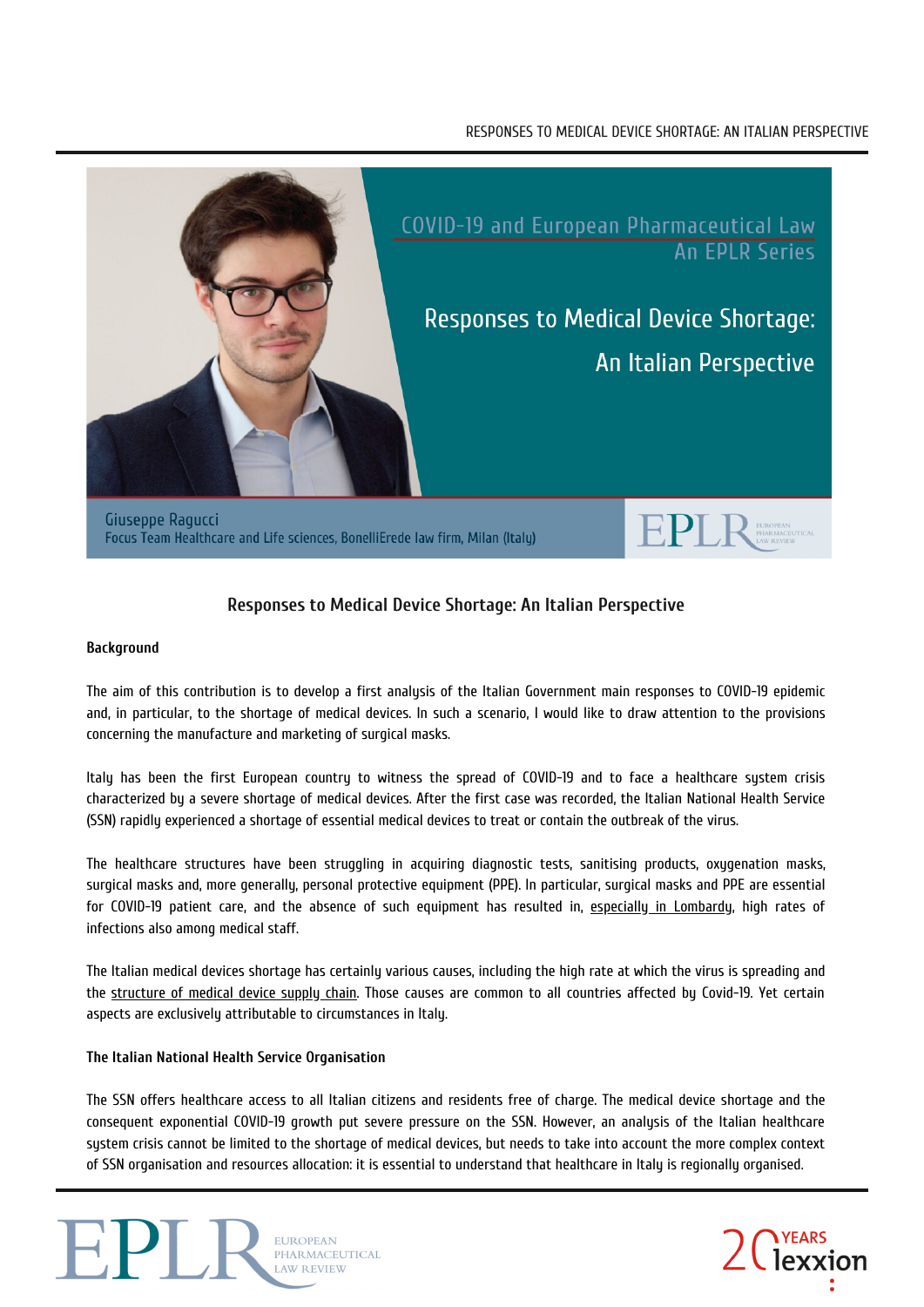# RESPONSES TO MEDICAL DEVICE SHORTAGE: AN ITALIAN PERSPECTIVE



# **Responses to Medical Device Shortage: An Italian Perspective**

## **Background**

The aim of this contribution is to develop a first analysis of the Italian Government main responses to COVID-19 epidemic and, in particular, to the shortage of medical devices. In such a scenario, I would like to draw attention to the provisions concerning the manufacture and marketing of surgical masks.

Italy has been the first European country to witness the spread of COVID-19 and to face a healthcare system crisis characterized by a severe shortage of medical devices. After the first case was recorded, the Italian National Health Service (SSN) rapidly experienced a shortage of essential medical devices to treat or contain the outbreak of the virus.

The healthcare structures have been struggling in acquiring diagnostic tests, sanitising products, oxygenation masks, surgical masks and, more generally, personal protective equipment (PPE). In particular, surgical masks and PPE are essential for COVID-19 patient care, and the absence of such equipment has resulted in, especially in [Lombardy](https://www.thelancet.com/journals/lanpub/article/PIIS2468-2667(20)30099-2/fulltext), high rates of infections also among medical staff.

The Italian medical devices shortage has certainly various causes, including the high rate at which the virus is spreading and the [structure](https://www.nejm.org/doi/full/10.1056/NEJMp2006141) of medical device supply chain. Those causes are common to all countries affected by Covid-19. Yet certain aspects are exclusively attributable to circumstances in Italy.

# **The Italian National Health Service Organisation**

The SSN offers healthcare access to all Italian citizens and residents free of charge. The medical device shortage and the consequent exponential COVID-19 growth put severe pressure on the SSN. However, an analysis of the Italian healthcare system crisis cannot be limited to the shortage of medical devices, but needs to take into account the more complex context of SSN organisation and resources allocation: it is essential to understand that healthcare in Italy is regionally organised.



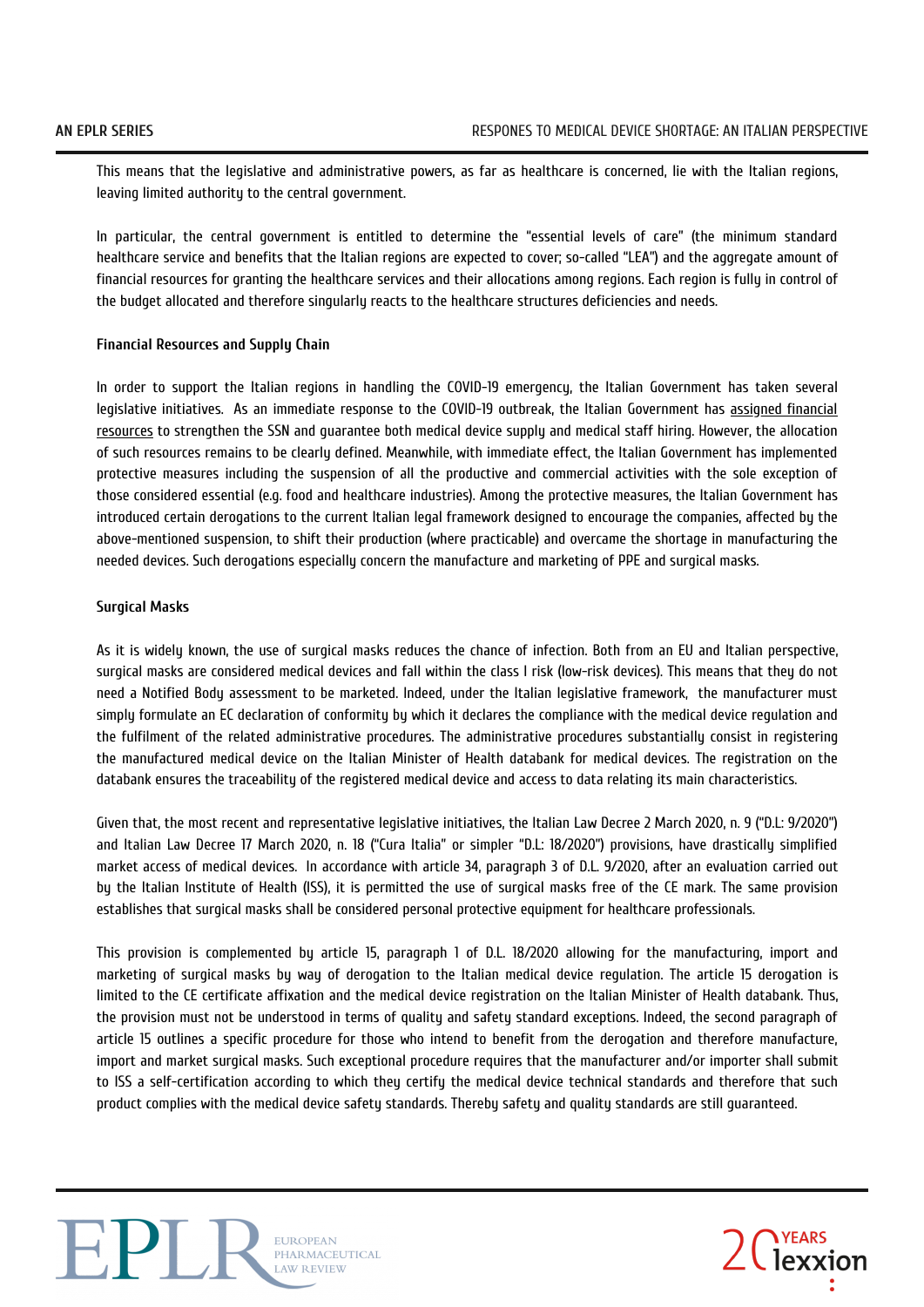This means that the legislative and administrative powers, as far as healthcare is concerned, lie with the Italian regions, leaving limited authority to the central government.

In particular, the central government is entitled to determine the "essential levels of care" (the minimum standard healthcare service and benefits that the Italian regions are expected to cover; so-called "LEA") and the aggregate amount of financial resources for granting the healthcare services and their allocations among regions. Each region is fully in control of the budget allocated and therefore singularly reacts to the healthcare structures deficiencies and needs.

#### **Financial Resources and Supply Chain**

In order to support the Italian regions in handling the COVID-19 emergency, the Italian Government has taken several legislative initiatives. As an immediate response to the COVID-19 outbreak, the Italian [Government](http://www.mef.gov.it/en/inevidenza/Protect-health-support-the-economy-preserve-employment-levels-and-incomes-00001/) has assigned financial resources to strengthen the SSN and guarantee both medical device supply and medical staff hiring. However, the allocation of such resources remains to be clearly defined. Meanwhile, with immediate effect, the Italian Government has implemented protective measures including the suspension of all the productive and commercial activities with the sole exception of those considered essential (e.g. food and healthcare industries). Among the protective measures, the Italian Government has introduced certain derogations to the current Italian legal framework designed to encourage the companies, affected by the above-mentioned suspension, to shift their production (where practicable) and overcame the shortage in manufacturing the needed devices. Such derogations especially concern the manufacture and marketing of PPE and surgical masks.

## **Surgical Masks**

As it is widely known, the use of surgical masks reduces the chance of infection. Both from an EU and Italian perspective, surgical masks are considered medical devices and fall within the class I risk (low-risk devices). This means that they do not need a Notified Body assessment to be marketed. Indeed, under the Italian legislative framework, the manufacturer must simply formulate an EC declaration of conformity by which it declares the compliance with the medical device regulation and the fulfilment of the related administrative procedures. The administrative procedures substantially consist in registering the manufactured medical device on the Italian Minister of Health databank for medical devices. The registration on the databank ensures the traceability of the registered medical device and access to data relating its main characteristics.

Given that, the most recent and representative legislative initiatives, the Italian Law Decree 2 March 2020, n. 9 ("D.L: 9/2020") and Italian Law Decree 17 March 2020, n. 18 ("Cura Italia" or simpler "D.L: 18/2020") provisions, have drastically simplified market access of medical devices. In accordance with article 34, paragraph 3 of D.L. 9/2020, after an evaluation carried out by the Italian Institute of Health (ISS), it is permitted the use of surgical masks free of the CE mark. The same provision establishes that surgical masks shall be considered personal protective equipment for healthcare professionals.

This provision is complemented by article 15, paragraph 1 of D.L. 18/2020 allowing for the manufacturing, import and marketing of surgical masks by way of derogation to the Italian medical device regulation. The article 15 derogation is limited to the CE certificate affixation and the medical device registration on the Italian Minister of Health databank. Thus, the provision must not be understood in terms of quality and safety standard exceptions. Indeed, the second paragraph of article 15 outlines a specific procedure for those who intend to benefit from the derogation and therefore manufacture, import and market surgical masks. Such exceptional procedure requires that the manufacturer and/or importer shall submit to ISS a self-certification according to which they certify the medical device technical standards and therefore that such product complies with the medical device safety standards. Thereby safety and quality standards are still guaranteed.